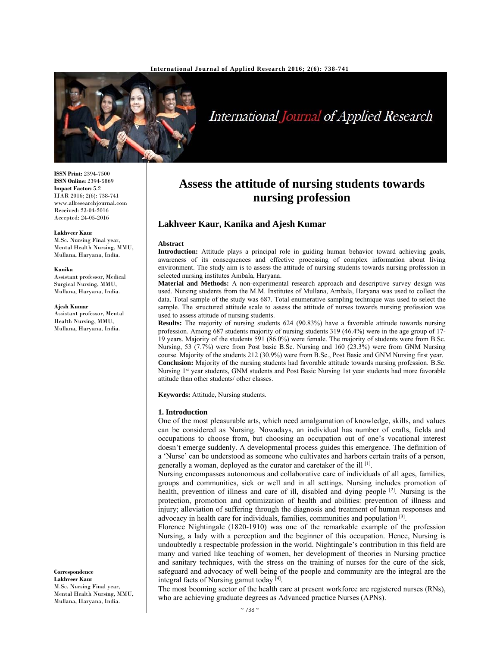

# International Journal of Applied Research

**ISSN Print:** 2394-7500 **ISSN Online:** 2394-5869 **Impact Factor:** 5.2 IJAR 2016; 2(6): 738-741 www.allresearchjournal.com Received: 23-04-2016 Accepted: 24-05-2016

#### **Lakhveer Kaur**

M.Sc. Nursing Final year, Mental Health Nursing, MMU, Mullana, Haryana, India.

#### **Kanika**

Assistant professor, Medical Surgical Nursing, MMU, Mullana, Haryana, India.

#### **Ajesh Kumar**

Assistant professor, Mental Health Nursing, MMU, Mullana, Haryana, India.

**Correspondence Lakhveer Kaur**  M.Sc. Nursing Final year, Mental Health Nursing, MMU, Mullana, Haryana, India.

# **Assess the attitude of nursing students towards nursing profession**

# **Lakhveer Kaur, Kanika and Ajesh Kumar**

#### **Abstract**

**Introduction:** Attitude plays a principal role in guiding human behavior toward achieving goals, awareness of its consequences and effective processing of complex information about living environment. The study aim is to assess the attitude of nursing students towards nursing profession in selected nursing institutes Ambala, Haryana.

**Material and Methods:** A non-experimental research approach and descriptive survey design was used. Nursing students from the M.M. Institutes of Mullana, Ambala, Haryana was used to collect the data. Total sample of the study was 687. Total enumerative sampling technique was used to select the sample. The structured attitude scale to assess the attitude of nurses towards nursing profession was used to assess attitude of nursing students.

**Results:** The majority of nursing students 624 (90.83%) have a favorable attitude towards nursing profession. Among 687 students majority of nursing students 319 (46.4%) were in the age group of 17- 19 years. Majority of the students 591 (86.0%) were female. The majority of students were from B.Sc. Nursing, 53 (7.7%) were from Post basic B.Sc. Nursing and 160 (23.3%) were from GNM Nursing course. Majority of the students 212 (30.9%) were from B.Sc., Post Basic and GNM Nursing first year. **Conclusion:** Majority of the nursing students had favorable attitude towards nursing profession. B.Sc. Nursing 1<sup>st</sup> year students, GNM students and Post Basic Nursing 1st year students had more favorable attitude than other students/ other classes.

**Keywords:** Attitude, Nursing students.

#### **1. Introduction**

One of the most pleasurable arts, which need amalgamation of knowledge, skills, and values can be considered as Nursing. Nowadays, an individual has number of crafts, fields and occupations to choose from, but choosing an occupation out of one's vocational interest doesn't emerge suddenly. A developmental process guides this emergence. The definition of a 'Nurse' can be understood as someone who cultivates and harbors certain traits of a person, generally a woman, deployed as the curator and caretaker of the ill  $[1]$ .

Nursing encompasses autonomous and collaborative care of individuals of all ages, families, groups and communities, sick or well and in all settings. Nursing includes promotion of health, prevention of illness and care of ill, disabled and dying people  $[2]$ . Nursing is the protection, promotion and optimization of health and abilities: prevention of illness and injury; alleviation of suffering through the diagnosis and treatment of human responses and advocacy in health care for individuals, families, communities and population [3].

Florence Nightingale (1820-1910) was one of the remarkable example of the profession Nursing, a lady with a perception and the beginner of this occupation. Hence, Nursing is undoubtedly a respectable profession in the world. Nightingale's contribution in this field are many and varied like teaching of women, her development of theories in Nursing practice and sanitary techniques, with the stress on the training of nurses for the cure of the sick, safeguard and advocacy of well being of the people and community are the integral are the integral facts of Nursing gamut today [4].

The most booming sector of the health care at present workforce are registered nurses (RNs), who are achieving graduate degrees as Advanced practice Nurses (APNs).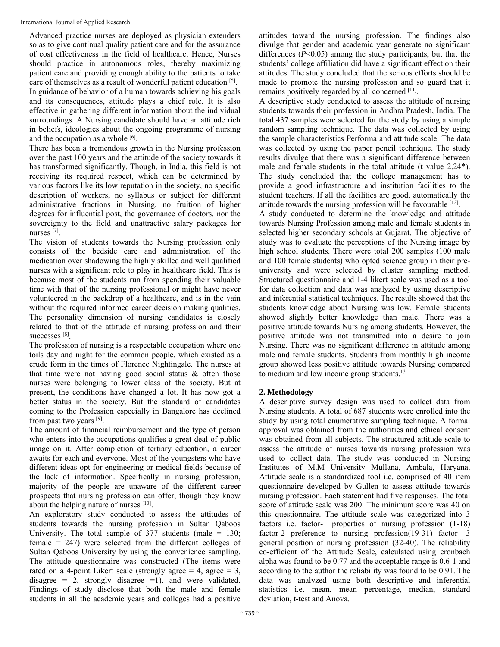Advanced practice nurses are deployed as physician extenders so as to give continual quality patient care and for the assurance of cost effectiveness in the field of healthcare. Hence, Nurses should practice in autonomous roles, thereby maximizing patient care and providing enough ability to the patients to take care of themselves as a result of wonderful patient education [5]. In guidance of behavior of a human towards achieving his goals and its consequences, attitude plays a chief role. It is also effective in gathering different information about the individual surroundings. A Nursing candidate should have an attitude rich in beliefs, ideologies about the ongoing programme of nursing and the occupation as a whole  $[6]$ .

There has been a tremendous growth in the Nursing profession over the past 100 years and the attitude of the society towards it has transformed significantly. Though, in India, this field is not receiving its required respect, which can be determined by various factors like its low reputation in the society, no specific description of workers, no syllabus or subject for different administrative fractions in Nursing, no fruition of higher degrees for influential post, the governance of doctors, nor the sovereignty to the field and unattractive salary packages for nurses<sup>[7]</sup>.

The vision of students towards the Nursing profession only consists of the bedside care and administration of the medication over shadowing the highly skilled and well qualified nurses with a significant role to play in healthcare field. This is because most of the students run from spending their valuable time with that of the nursing professional or might have never volunteered in the backdrop of a healthcare, and is in the vain without the required informed career decision making qualities. The personality dimension of nursing candidates is closely related to that of the attitude of nursing profession and their successes [8].

The profession of nursing is a respectable occupation where one toils day and night for the common people, which existed as a crude form in the times of Florence Nightingale. The nurses at that time were not having good social status & often those nurses were belonging to lower class of the society. But at present, the conditions have changed a lot. It has now got a better status in the society. But the standard of candidates coming to the Profession especially in Bangalore has declined from past two years [9].

The amount of financial reimbursement and the type of person who enters into the occupations qualifies a great deal of public image on it. After completion of tertiary education, a career awaits for each and everyone. Most of the youngsters who have different ideas opt for engineering or medical fields because of the lack of information. Specifically in nursing profession, majority of the people are unaware of the different career prospects that nursing profession can offer, though they know about the helping nature of nurses [10].

An exploratory study conducted to assess the attitudes of students towards the nursing profession in Sultan Qaboos University. The total sample of  $377$  students (male = 130; female = 247) were selected from the different colleges of Sultan Qaboos University by using the convenience sampling. The attitude questionnaire was constructed (The items were rated on a 4-point Likert scale (strongly agree  $= 4$ , agree  $= 3$ , disagree = 2, strongly disagree = 1). and were validated. Findings of study disclose that both the male and female students in all the academic years and colleges had a positive

attitudes toward the nursing profession. The findings also divulge that gender and academic year generate no significant differences (*P*<0.05) among the study participants, but that the students' college affiliation did have a significant effect on their attitudes. The study concluded that the serious efforts should be made to promote the nursing profession and so guard that it remains positively regarded by all concerned [11].

A descriptive study conducted to assess the attitude of nursing students towards their profession in Andhra Pradesh, India. The total 437 samples were selected for the study by using a simple random sampling technique. The data was collected by using the sample characteristics Performa and attitude scale. The data was collected by using the paper pencil technique. The study results divulge that there was a significant difference between male and female students in the total attitude (t value 2.24\*). The study concluded that the college management has to provide a good infrastructure and institution facilities to the student teachers, If all the facilities are good, automatically the attitude towards the nursing profession will be favourable [12].

A study conducted to determine the knowledge and attitude towards Nursing Profession among male and female students in selected higher secondary schools at Gujarat. The objective of study was to evaluate the perceptions of the Nursing image by high school students. There were total 200 samples (100 male and 100 female students) who opted science group in their preuniversity and were selected by cluster sampling method. Structured questionnaire and 1-4 likert scale was used as a tool for data collection and data was analyzed by using descriptive and inferential statistical techniques. The results showed that the students knowledge about Nursing was low. Female students showed slightly better knowledge than male. There was a positive attitude towards Nursing among students. However, the positive attitude was not transmitted into a desire to join Nursing. There was no significant difference in attitude among male and female students. Students from monthly high income group showed less positive attitude towards Nursing compared to medium and low income group students.<sup>13</sup>

# **2. Methodology**

A descriptive survey design was used to collect data from Nursing students. A total of 687 students were enrolled into the study by using total enumerative sampling technique. A formal approval was obtained from the authorities and ethical consent was obtained from all subjects. The structured attitude scale to assess the attitude of nurses towards nursing profession was used to collect data. The study was conducted in Nursing Institutes of M.M University Mullana, Ambala, Haryana. Attitude scale is a standardized tool i.e. comprised of 40–item questionnaire developed by Gullen to assess attitude towards nursing profession. Each statement had five responses. The total score of attitude scale was 200. The minimum score was 40 on this questionnaire. The attitude scale was categorized into 3 factors i.e. factor-1 properties of nursing profession (1-18) factor-2 preference to nursing profession(19-31) factor -3 general position of nursing profession (32-40). The reliability co-efficient of the Attitude Scale, calculated using cronbach alpha was found to be 0.77 and the acceptable range is 0.6-1 and according to the author the reliability was found to be 0.91. The data was analyzed using both descriptive and inferential statistics i.e. mean, mean percentage, median, standard deviation, t-test and Anova.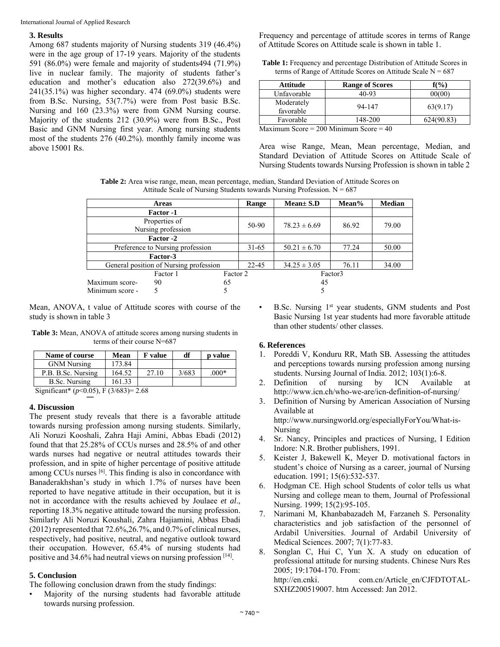International Journal of Applied Research

### **3. Results**

Among 687 students majority of Nursing students 319 (46.4%) were in the age group of 17-19 years. Majority of the students 591 (86.0%) were female and majority of students494 (71.9%) live in nuclear family. The majority of students father's education and mother's education also 272(39.6%) and 241(35.1%) was higher secondary. 474 (69.0%) students were from B.Sc. Nursing, 53(7.7%) were from Post basic B.Sc. Nursing and 160 (23.3%) were from GNM Nursing course. Majority of the students 212 (30.9%) were from B.Sc., Post Basic and GNM Nursing first year. Among nursing students most of the students 276 (40.2%). monthly family income was above 15001 Rs.

Frequency and percentage of attitude scores in terms of Range of Attitude Scores on Attitude scale is shown in table 1.

| <b>Table 1:</b> Frequency and percentage Distribution of Attitude Scores in |  |
|-----------------------------------------------------------------------------|--|
| terms of Range of Attitude Scores on Attitude Scale $N = 687$               |  |

| <b>Attitude</b>         | <b>Range of Scores</b> | $f(\frac{9}{6})$ |
|-------------------------|------------------------|------------------|
| Unfavorable             | 40-93                  | 00(00)           |
| Moderately<br>favorable | 94-147                 | 63(9.17)         |
| Favorable               | 148-200                | 624(90.83)       |

Maximum Score = 200 Minimum Score = 40

Area wise Range, Mean, Mean percentage, Median, and Standard Deviation of Attitude Scores on Attitude Scale of Nursing Students towards Nursing Profession is shown in table 2

**Table 2:** Area wise range, mean, mean percentage, median, Standard Deviation of Attitude Scores on Attitude Scale of Nursing Students towards Nursing Profession.  $N = 687$ 

| <b>Areas</b>                           |           | Range     | $Mean \pm S.D$   | Mean% | <b>Median</b> |  |
|----------------------------------------|-----------|-----------|------------------|-------|---------------|--|
| Factor -1                              |           |           |                  |       |               |  |
| Properties of<br>Nursing profession    |           | 50-90     | $78.23 \pm 6.69$ | 86.92 | 79.00         |  |
|                                        | Factor -2 |           |                  |       |               |  |
| Preference to Nursing profession       |           | $31 - 65$ | $50.21 \pm 6.70$ | 77.24 | 50.00         |  |
| Factor-3                               |           |           |                  |       |               |  |
| General position of Nursing profession |           | $22 - 45$ | $34.25 \pm 3.05$ | 76.11 | 34.00         |  |
|                                        | Factor 1  | Factor 2  |                  |       | Factor3       |  |
| Maximum score-                         | 90        | 65        |                  | 45    |               |  |
| Minimum score -                        |           |           |                  |       |               |  |

Mean, ANOVA, t value of Attitude scores with course of the study is shown in table 3

**Table 3:** Mean, ANOVA of attitude scores among nursing students in terms of their course N=687

| Name of course                                                                                                        | Mean   | <b>F</b> value | df    | <b>p</b> value |  |  |
|-----------------------------------------------------------------------------------------------------------------------|--------|----------------|-------|----------------|--|--|
| <b>GNM Nursing</b>                                                                                                    | 173.84 |                |       |                |  |  |
| P.B. B.Sc. Nursing                                                                                                    | 164.52 | 27.10          | 3/683 | $.000*$        |  |  |
| B.Sc. Nursing                                                                                                         | 161.33 |                |       |                |  |  |
| $C: \ldots : C \rightarrow \mathbb{R}$ ( $\rightarrow \mathbb{R}$ O $C \rightarrow \mathbb{R}$ ) $C(2)(C(2)) = 2$ (0) |        |                |       |                |  |  |

Significant\* (*p*<0.05), F (3/683)= 2.68

# **4. Discussion**

The present study reveals that there is a favorable attitude towards nursing profession among nursing students. Similarly, Ali Noruzi Kooshali, Zahra Haji Amini, Abbas Ebadi (2012) found that that 25.28% of CCUs nurses and 28.5% of and other wards nurses had negative or neutral attitudes towards their profession, and in spite of higher percentage of positive attitude among CCUs nurses [6]. This finding is also in concordance with Banaderakhshan's study in which 1.7% of nurses have been reported to have negative attitude in their occupation, but it is not in accordance with the results achieved by Joulaee *et al*., reporting 18.3% negative attitude toward the nursing profession. Similarly Ali Noruzi Koushali, Zahra Hajiamini, Abbas Ebadi  $(2012)$  represented that  $72.6\%, 26.7\%$ , and  $0.7\%$  of clinical nurses, respectively, had positive, neutral, and negative outlook toward their occupation. However, 65.4% of nursing students had positive and 34.6% had neutral views on nursing profession [14].

# **5. Conclusion**

The following conclusion drawn from the study findings:

• Majority of the nursing students had favorable attitude towards nursing profession.

B.Sc. Nursing 1<sup>st</sup> year students, GNM students and Post Basic Nursing 1st year students had more favorable attitude than other students/ other classes.

# **6. References**

- 1. Poreddi V, Konduru RR, Math SB*.* Assessing the attitudes and perceptions towards nursing profession among nursing students. Nursing Journal of India. 2012; 103(1):6-8.
- 2. Definition of nursing by ICN Available at http://www.icn.ch/who-we-are/icn-definition-of-nursing/
- 3. Definition of Nursing by American Association of Nursing Available at http://www.nursingworld.org/especiallyForYou/What-is-Nursing
- 4. Sr. Nancy, Principles and practices of Nursing, I Edition Indore: N.R. Brother publishers, 1991.
- 5. Keister J, Bakewell K, Meyer D. motivational factors in student's choice of Nursing as a career, journal of Nursing education. 1991; 15(6):532-537.
- 6. Hodgman CE. High school Students of color tells us what Nursing and college mean to them, Journal of Professional Nursing. 1999; 15(2):95-105.
- 7. Narimani M, Khanbabazadeh M, Farzaneh S. Personality characteristics and job satisfaction of the personnel of Ardabil Universities. Journal of Ardabil University of Medical Sciences. 2007; 7(1):77-83.
- 8. Songlan C, Hui C, Yun X. A study on education of professional attitude for nursing students. Chinese Nurs Res 2005; 19:1704-170. From: http://en.cnki. com.cn/Article en/CJFDTOTAL-SXHZ200519007. htm Accessed: Jan 2012.